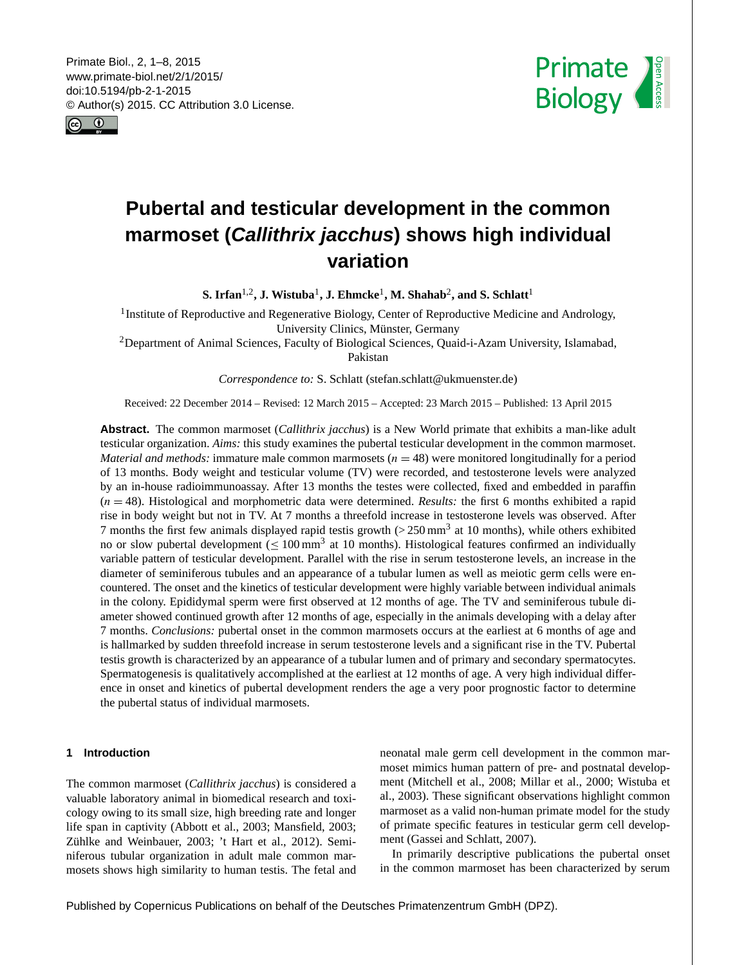<span id="page-0-1"></span>Primate Biol., 2, 1–8, 2015 www.primate-biol.net/2/1/2015/ doi:10.5194/pb-2-1-2015 © Author(s) 2015. CC Attribution 3.0 License.





# **Pubertal and testicular development in the common marmoset (***Callithrix jacchus***) shows high individual variation**

 $\mathbf{S}.$  Irfan<sup>[1,2](#page-0-0)</sup>, J. Wistuba<sup>[1](#page-0-0)</sup>, J. Ehmcke<sup>1</sup>, M. Shahab<sup>[2](#page-0-0)</sup>, and S. Schlatt<sup>1</sup>

<sup>1</sup> Institute of Reproductive and Regenerative Biology, Center of Reproductive Medicine and Andrology, University Clinics, Münster, Germany

<sup>2</sup>Department of Animal Sciences, Faculty of Biological Sciences, Quaid-i-Azam University, Islamabad, Pakistan

*Correspondence to:* S. Schlatt (stefan.schlatt@ukmuenster.de)

Received: 22 December 2014 – Revised: 12 March 2015 – Accepted: 23 March 2015 – Published: 13 April 2015

**Abstract.** The common marmoset (*Callithrix jacchus*) is a New World primate that exhibits a man-like adult testicular organization. *Aims:* this study examines the pubertal testicular development in the common marmoset. *Material and methods:* immature male common marmosets  $(n = 48)$  were monitored longitudinally for a period of 13 months. Body weight and testicular volume (TV) were recorded, and testosterone levels were analyzed by an in-house radioimmunoassay. After 13 months the testes were collected, fixed and embedded in paraffin  $(n = 48)$ . Histological and morphometric data were determined. *Results:* the first 6 months exhibited a rapid rise in body weight but not in TV. At 7 months a threefold increase in testosterone levels was observed. After 7 months the first few animals displayed rapid testis growth  $(>250 \text{ mm}^3)$  at 10 months), while others exhibited no or slow pubertal development ( $\leq 100$  mm<sup>3</sup> at 10 months). Histological features confirmed an individually variable pattern of testicular development. Parallel with the rise in serum testosterone levels, an increase in the diameter of seminiferous tubules and an appearance of a tubular lumen as well as meiotic germ cells were encountered. The onset and the kinetics of testicular development were highly variable between individual animals in the colony. Epididymal sperm were first observed at 12 months of age. The TV and seminiferous tubule diameter showed continued growth after 12 months of age, especially in the animals developing with a delay after 7 months. *Conclusions:* pubertal onset in the common marmosets occurs at the earliest at 6 months of age and is hallmarked by sudden threefold increase in serum testosterone levels and a significant rise in the TV. Pubertal testis growth is characterized by an appearance of a tubular lumen and of primary and secondary spermatocytes. Spermatogenesis is qualitatively accomplished at the earliest at 12 months of age. A very high individual difference in onset and kinetics of pubertal development renders the age a very poor prognostic factor to determine the pubertal status of individual marmosets.

# <span id="page-0-0"></span>**1 Introduction**

The common marmoset (*Callithrix jacchus*) is considered a valuable laboratory animal in biomedical research and toxicology owing to its small size, high breeding rate and longer life span in captivity (Abbott et al., 2003; Mansfield, 2003; Zühlke and Weinbauer, 2003; 't Hart et al., 2012). Seminiferous tubular organization in adult male common marmosets shows high similarity to human testis. The fetal and neonatal male germ cell development in the common marmoset mimics human pattern of pre- and postnatal development (Mitchell et al., 2008; Millar et al., 2000; Wistuba et al., 2003). These significant observations highlight common marmoset as a valid non-human primate model for the study of primate specific features in testicular germ cell development (Gassei and Schlatt, 2007).

In primarily descriptive publications the pubertal onset in the common marmoset has been characterized by serum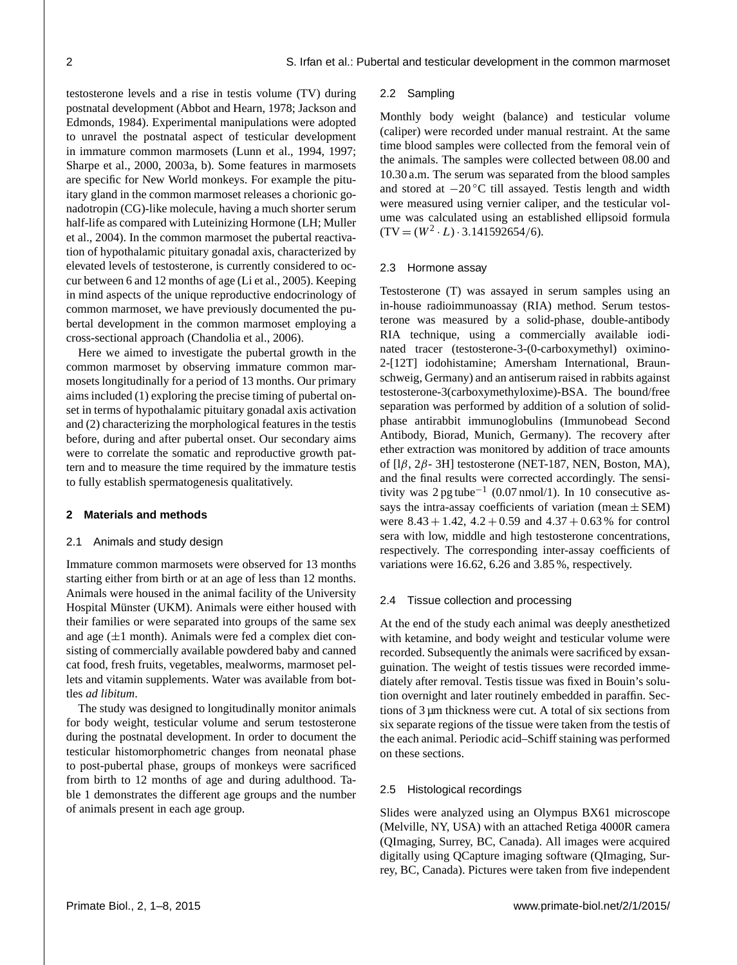testosterone levels and a rise in testis volume (TV) during postnatal development (Abbot and Hearn, 1978; Jackson and Edmonds, 1984). Experimental manipulations were adopted to unravel the postnatal aspect of testicular development in immature common marmosets (Lunn et al., 1994, 1997; Sharpe et al., 2000, 2003a, b). Some features in marmosets are specific for New World monkeys. For example the pituitary gland in the common marmoset releases a chorionic gonadotropin (CG)-like molecule, having a much shorter serum half-life as compared with Luteinizing Hormone (LH; Muller et al., 2004). In the common marmoset the pubertal reactivation of hypothalamic pituitary gonadal axis, characterized by elevated levels of testosterone, is currently considered to occur between 6 and 12 months of age (Li et al., 2005). Keeping in mind aspects of the unique reproductive endocrinology of common marmoset, we have previously documented the pubertal development in the common marmoset employing a cross-sectional approach (Chandolia et al., 2006).

Here we aimed to investigate the pubertal growth in the common marmoset by observing immature common marmosets longitudinally for a period of 13 months. Our primary aims included (1) exploring the precise timing of pubertal onset in terms of hypothalamic pituitary gonadal axis activation and (2) characterizing the morphological features in the testis before, during and after pubertal onset. Our secondary aims were to correlate the somatic and reproductive growth pattern and to measure the time required by the immature testis to fully establish spermatogenesis qualitatively.

# **2 Materials and methods**

# 2.1 Animals and study design

Immature common marmosets were observed for 13 months starting either from birth or at an age of less than 12 months. Animals were housed in the animal facility of the University Hospital Münster (UKM). Animals were either housed with their families or were separated into groups of the same sex and age  $(\pm 1$  month). Animals were fed a complex diet consisting of commercially available powdered baby and canned cat food, fresh fruits, vegetables, mealworms, marmoset pellets and vitamin supplements. Water was available from bottles *ad libitum*.

The study was designed to longitudinally monitor animals for body weight, testicular volume and serum testosterone during the postnatal development. In order to document the testicular histomorphometric changes from neonatal phase to post-pubertal phase, groups of monkeys were sacrificed from birth to 12 months of age and during adulthood. Table 1 demonstrates the different age groups and the number of animals present in each age group.

#### 2.2 Sampling

Monthly body weight (balance) and testicular volume (caliper) were recorded under manual restraint. At the same time blood samples were collected from the femoral vein of the animals. The samples were collected between 08.00 and 10.30 a.m. The serum was separated from the blood samples and stored at −20 ◦C till assayed. Testis length and width were measured using vernier caliper, and the testicular volume was calculated using an established ellipsoid formula  $(TV = (W^2 \cdot L) \cdot 3.141592654/6).$ 

# 2.3 Hormone assay

Testosterone (T) was assayed in serum samples using an in-house radioimmunoassay (RIA) method. Serum testosterone was measured by a solid-phase, double-antibody RIA technique, using a commercially available iodinated tracer (testosterone-3-(0-carboxymethyl) oximino-2-[12T] iodohistamine; Amersham International, Braunschweig, Germany) and an antiserum raised in rabbits against testosterone-3(carboxymethyloxime)-BSA. The bound/free separation was performed by addition of a solution of solidphase antirabbit immunoglobulins (Immunobead Second Antibody, Biorad, Munich, Germany). The recovery after ether extraction was monitored by addition of trace amounts of  $[1\beta, 2\beta - 3H]$  testosterone (NET-187, NEN, Boston, MA), and the final results were corrected accordingly. The sensitivity was 2 pg tube−<sup>1</sup> (0.07 nmol/1). In 10 consecutive assays the intra-assay coefficients of variation (mean  $\pm$  SEM) were  $8.43 + 1.42$ ,  $4.2 + 0.59$  and  $4.37 + 0.63$  % for control sera with low, middle and high testosterone concentrations, respectively. The corresponding inter-assay coefficients of variations were 16.62, 6.26 and 3.85 %, respectively.

#### 2.4 Tissue collection and processing

At the end of the study each animal was deeply anesthetized with ketamine, and body weight and testicular volume were recorded. Subsequently the animals were sacrificed by exsanguination. The weight of testis tissues were recorded immediately after removal. Testis tissue was fixed in Bouin's solution overnight and later routinely embedded in paraffin. Sections of 3 µm thickness were cut. A total of six sections from six separate regions of the tissue were taken from the testis of the each animal. Periodic acid–Schiff staining was performed on these sections.

# 2.5 Histological recordings

Slides were analyzed using an Olympus BX61 microscope (Melville, NY, USA) with an attached Retiga 4000R camera (QImaging, Surrey, BC, Canada). All images were acquired digitally using QCapture imaging software (QImaging, Surrey, BC, Canada). Pictures were taken from five independent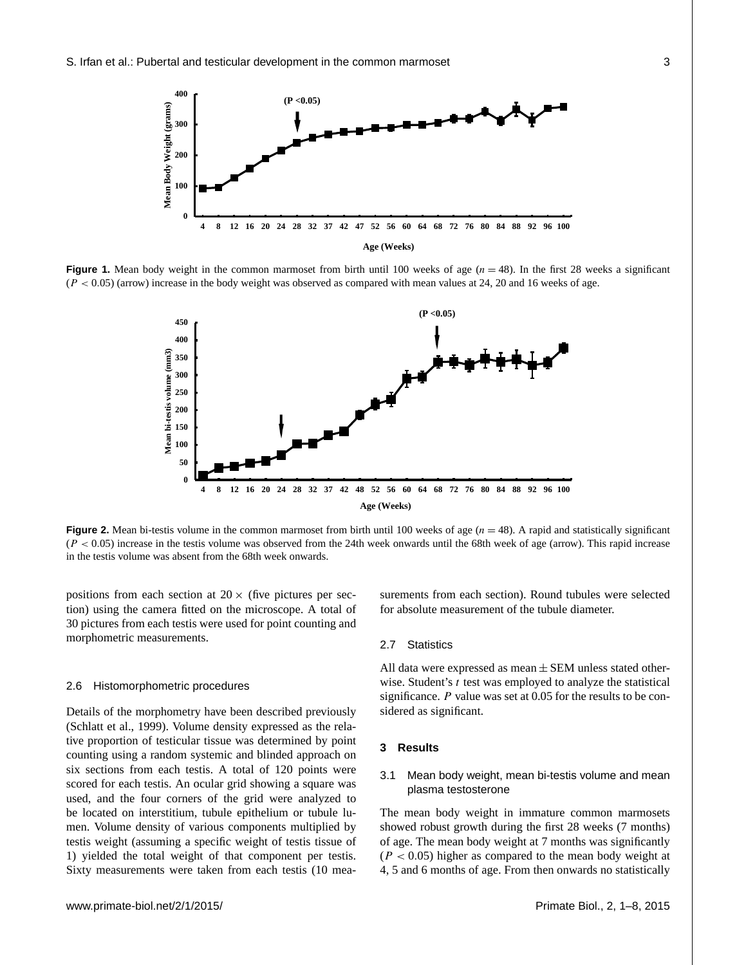

**Figure 1.** Mean body weight in the common marmoset from birth until 100 weeks of age  $(n = 48)$ . In the first 28 weeks a significant  $(P < 0.05)$  (arrow) increase in the body weight was observed as compared with mean values at 24, 20 and 16 weeks of age.



**Figure 2.** Mean bi-testis volume in the common marmoset from birth until 100 weeks of age  $(n = 48)$ . A rapid and statistically significant  $(P < 0.05)$  increase in the testis volume was observed from the 24th week onwards until the 68th week of age (arrow). This rapid increase in the testis volume was absent from the 68th week onwards.

positions from each section at  $20 \times$  (five pictures per section) using the camera fitted on the microscope. A total of 30 pictures from each testis were used for point counting and morphometric measurements.

#### 2.6 Histomorphometric procedures

Details of the morphometry have been described previously (Schlatt et al., 1999). Volume density expressed as the relative proportion of testicular tissue was determined by point counting using a random systemic and blinded approach on six sections from each testis. A total of 120 points were scored for each testis. An ocular grid showing a square was used, and the four corners of the grid were analyzed to be located on interstitium, tubule epithelium or tubule lumen. Volume density of various components multiplied by testis weight (assuming a specific weight of testis tissue of 1) yielded the total weight of that component per testis. Sixty measurements were taken from each testis (10 measurements from each section). Round tubules were selected for absolute measurement of the tubule diameter.

# 2.7 Statistics

All data were expressed as mean  $\pm$  SEM unless stated otherwise. Student's  $t$  test was employed to analyze the statistical significance. P value was set at 0.05 for the results to be considered as significant.

# **3 Results**

# 3.1 Mean body weight, mean bi-testis volume and mean plasma testosterone

The mean body weight in immature common marmosets showed robust growth during the first 28 weeks (7 months) of age. The mean body weight at 7 months was significantly  $(P < 0.05)$  higher as compared to the mean body weight at 4, 5 and 6 months of age. From then onwards no statistically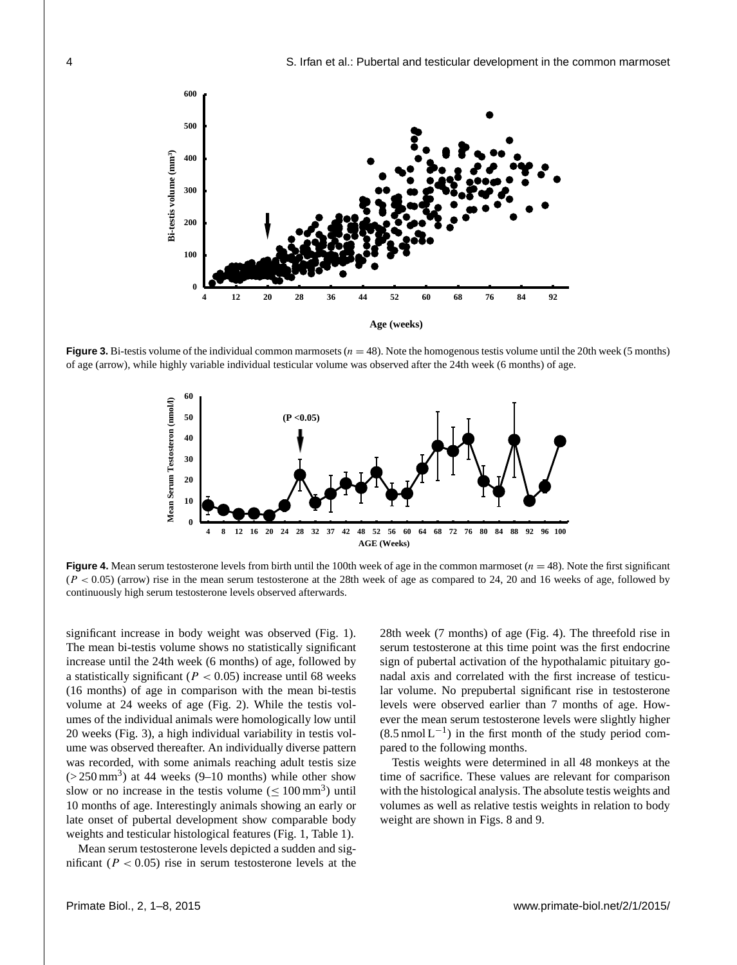

**Figure 3.** Bi-testis volume of the individual common marmosets  $(n = 48)$ . Note the homogenous testis volume until the 20th week (5 months) of age (arrow), while highly variable individual testicular volume was observed after the 24th week (6 months) of age.



**Figure 4.** Mean serum testosterone levels from birth until the 100th week of age in the common marmoset  $(n = 48)$ . Note the first significant  $(P < 0.05)$  (arrow) rise in the mean serum testosterone at the 28th week of age as compared to 24, 20 and 16 weeks of age, followed by continuously high serum testosterone levels observed afterwards.

significant increase in body weight was observed (Fig. 1). The mean bi-testis volume shows no statistically significant increase until the 24th week (6 months) of age, followed by a statistically significant ( $P < 0.05$ ) increase until 68 weeks (16 months) of age in comparison with the mean bi-testis volume at 24 weeks of age (Fig. 2). While the testis volumes of the individual animals were homologically low until 20 weeks (Fig. 3), a high individual variability in testis volume was observed thereafter. An individually diverse pattern was recorded, with some animals reaching adult testis size  $(> 250 \text{ mm}^3)$  at 44 weeks (9–10 months) while other show slow or no increase in the testis volume  $(\leq 100 \text{ mm}^3)$  until 10 months of age. Interestingly animals showing an early or late onset of pubertal development show comparable body weights and testicular histological features (Fig. 1, Table 1).

Mean serum testosterone levels depicted a sudden and significant ( $P < 0.05$ ) rise in serum testosterone levels at the 28th week (7 months) of age (Fig. 4). The threefold rise in serum testosterone at this time point was the first endocrine sign of pubertal activation of the hypothalamic pituitary gonadal axis and correlated with the first increase of testicular volume. No prepubertal significant rise in testosterone levels were observed earlier than 7 months of age. However the mean serum testosterone levels were slightly higher  $(8.5 \text{ nmol L}^{-1})$  in the first month of the study period compared to the following months.

Testis weights were determined in all 48 monkeys at the time of sacrifice. These values are relevant for comparison with the histological analysis. The absolute testis weights and volumes as well as relative testis weights in relation to body weight are shown in Figs. 8 and 9.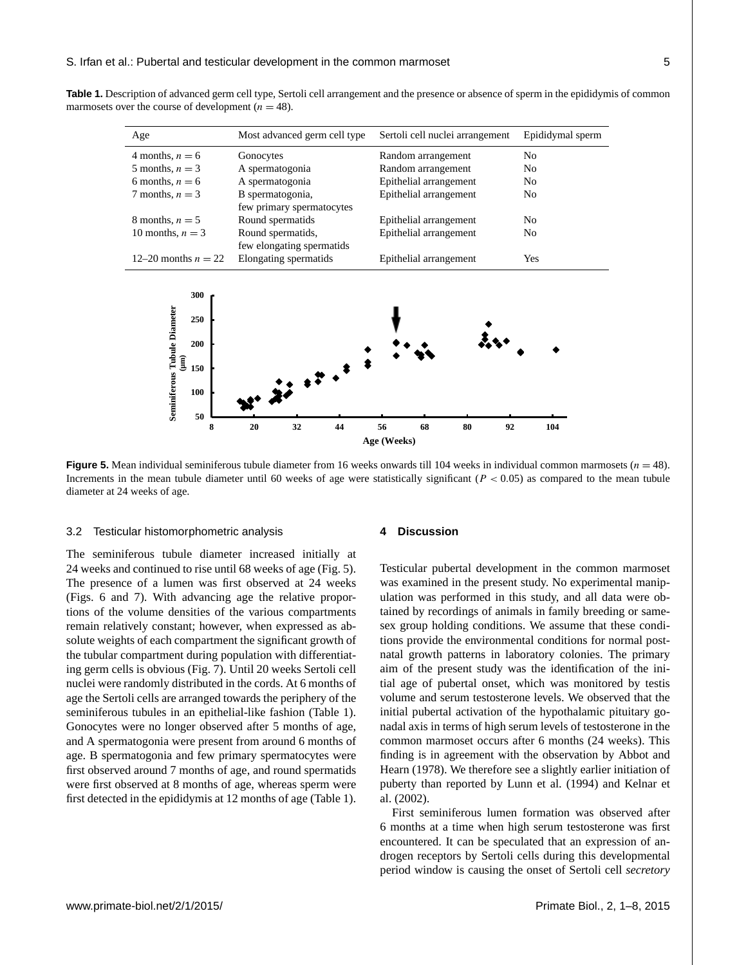**Table 1.** Description of advanced germ cell type, Sertoli cell arrangement and the presence or absence of sperm in the epididymis of common marmosets over the course of development ( $n = 48$ ).

| Age                                                                  | Most advanced germ cell type                   | Sertoli cell nuclei arrangement | Epididymal sperm |
|----------------------------------------------------------------------|------------------------------------------------|---------------------------------|------------------|
| 4 months, $n = 6$                                                    | Gonocytes                                      | Random arrangement              | N <sub>0</sub>   |
| 5 months, $n = 3$                                                    | A spermatogonia                                | Random arrangement              | N <sub>0</sub>   |
| 6 months, $n = 6$                                                    | A spermatogonia                                | Epithelial arrangement          | N <sub>0</sub>   |
| 7 months, $n = 3$                                                    | B spermatogonia,<br>few primary spermatocytes  | Epithelial arrangement          | No               |
| 8 months, $n = 5$                                                    | Round spermatids                               | Epithelial arrangement          | N <sub>0</sub>   |
| 10 months, $n = 3$                                                   | Round spermatids,<br>few elongating spermatids | Epithelial arrangement          | No               |
| 12–20 months $n = 22$                                                | Elongating spermatids                          | Epithelial arrangement          | Yes              |
| 300<br>Seminiferous Tubule Diameter<br>250<br>200<br>Ĵ<br>150<br>100 | $\ddot{x}$                                     |                                 |                  |



**8 20 32 44 56 68 80 92 104**

**Age (Weeks)**

# 3.2 Testicular histomorphometric analysis

The seminiferous tubule diameter increased initially at 24 weeks and continued to rise until 68 weeks of age (Fig. 5). The presence of a lumen was first observed at 24 weeks (Figs. 6 and 7). With advancing age the relative proportions of the volume densities of the various compartments remain relatively constant; however, when expressed as absolute weights of each compartment the significant growth of the tubular compartment during population with differentiating germ cells is obvious (Fig. 7). Until 20 weeks Sertoli cell nuclei were randomly distributed in the cords. At 6 months of age the Sertoli cells are arranged towards the periphery of the seminiferous tubules in an epithelial-like fashion (Table 1). Gonocytes were no longer observed after 5 months of age, and A spermatogonia were present from around 6 months of age. B spermatogonia and few primary spermatocytes were first observed around 7 months of age, and round spermatids were first observed at 8 months of age, whereas sperm were first detected in the epididymis at 12 months of age (Table 1).

#### **4 Discussion**

Testicular pubertal development in the common marmoset was examined in the present study. No experimental manipulation was performed in this study, and all data were obtained by recordings of animals in family breeding or samesex group holding conditions. We assume that these conditions provide the environmental conditions for normal postnatal growth patterns in laboratory colonies. The primary aim of the present study was the identification of the initial age of pubertal onset, which was monitored by testis volume and serum testosterone levels. We observed that the initial pubertal activation of the hypothalamic pituitary gonadal axis in terms of high serum levels of testosterone in the common marmoset occurs after 6 months (24 weeks). This finding is in agreement with the observation by Abbot and Hearn (1978). We therefore see a slightly earlier initiation of puberty than reported by Lunn et al. (1994) and Kelnar et al. (2002).

First seminiferous lumen formation was observed after 6 months at a time when high serum testosterone was first encountered. It can be speculated that an expression of androgen receptors by Sertoli cells during this developmental period window is causing the onset of Sertoli cell *secretory*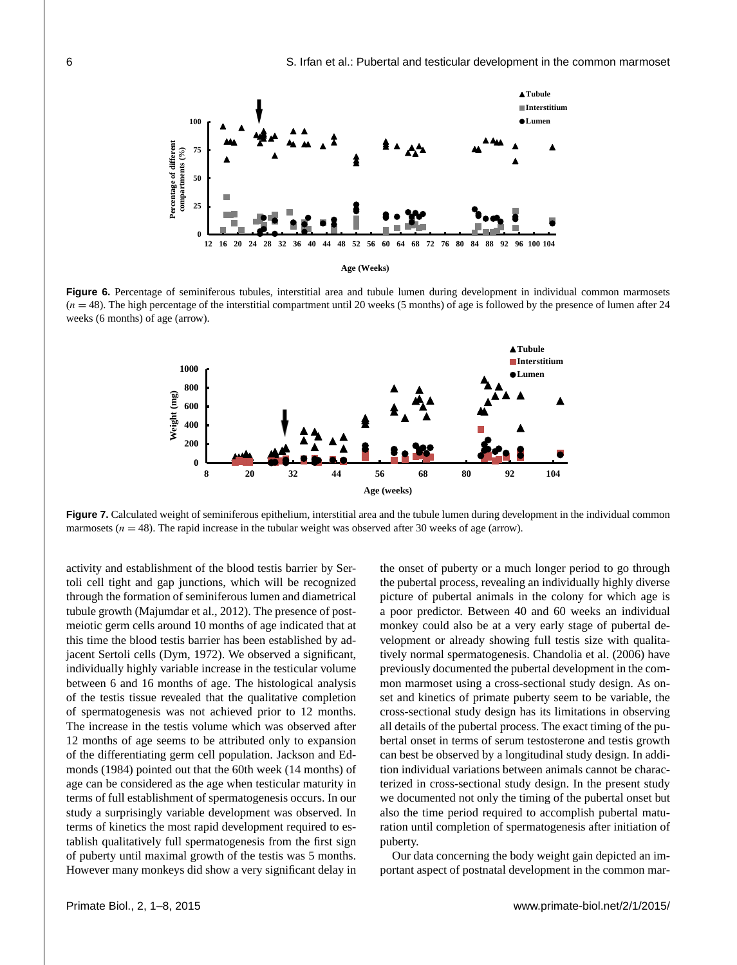

Figure 6. Percentage of seminiferous tubules, interstitial area and tubule lumen during development in individual common marmosets  $(n = 48)$ . The high percentage of the interstitial compartment until 20 weeks (5 months) of age is followed by the presence of lumen after 24 weeks (6 months) of age (arrow).



**Figure 7.** Calculated weight of seminiferous epithelium, interstitial area and the tubule lumen during development in the individual common marmosets  $(n = 48)$ . The rapid increase in the tubular weight was observed after 30 weeks of age (arrow).

activity and establishment of the blood testis barrier by Sertoli cell tight and gap junctions, which will be recognized through the formation of seminiferous lumen and diametrical tubule growth (Majumdar et al., 2012). The presence of postmeiotic germ cells around 10 months of age indicated that at this time the blood testis barrier has been established by adjacent Sertoli cells (Dym, 1972). We observed a significant, individually highly variable increase in the testicular volume between 6 and 16 months of age. The histological analysis of the testis tissue revealed that the qualitative completion of spermatogenesis was not achieved prior to 12 months. The increase in the testis volume which was observed after 12 months of age seems to be attributed only to expansion of the differentiating germ cell population. Jackson and Edmonds (1984) pointed out that the 60th week (14 months) of age can be considered as the age when testicular maturity in terms of full establishment of spermatogenesis occurs. In our study a surprisingly variable development was observed. In terms of kinetics the most rapid development required to establish qualitatively full spermatogenesis from the first sign of puberty until maximal growth of the testis was 5 months. However many monkeys did show a very significant delay in the onset of puberty or a much longer period to go through the pubertal process, revealing an individually highly diverse picture of pubertal animals in the colony for which age is a poor predictor. Between 40 and 60 weeks an individual monkey could also be at a very early stage of pubertal development or already showing full testis size with qualitatively normal spermatogenesis. Chandolia et al. (2006) have previously documented the pubertal development in the common marmoset using a cross-sectional study design. As onset and kinetics of primate puberty seem to be variable, the cross-sectional study design has its limitations in observing all details of the pubertal process. The exact timing of the pubertal onset in terms of serum testosterone and testis growth can best be observed by a longitudinal study design. In addition individual variations between animals cannot be characterized in cross-sectional study design. In the present study we documented not only the timing of the pubertal onset but also the time period required to accomplish pubertal maturation until completion of spermatogenesis after initiation of puberty.

Our data concerning the body weight gain depicted an important aspect of postnatal development in the common mar-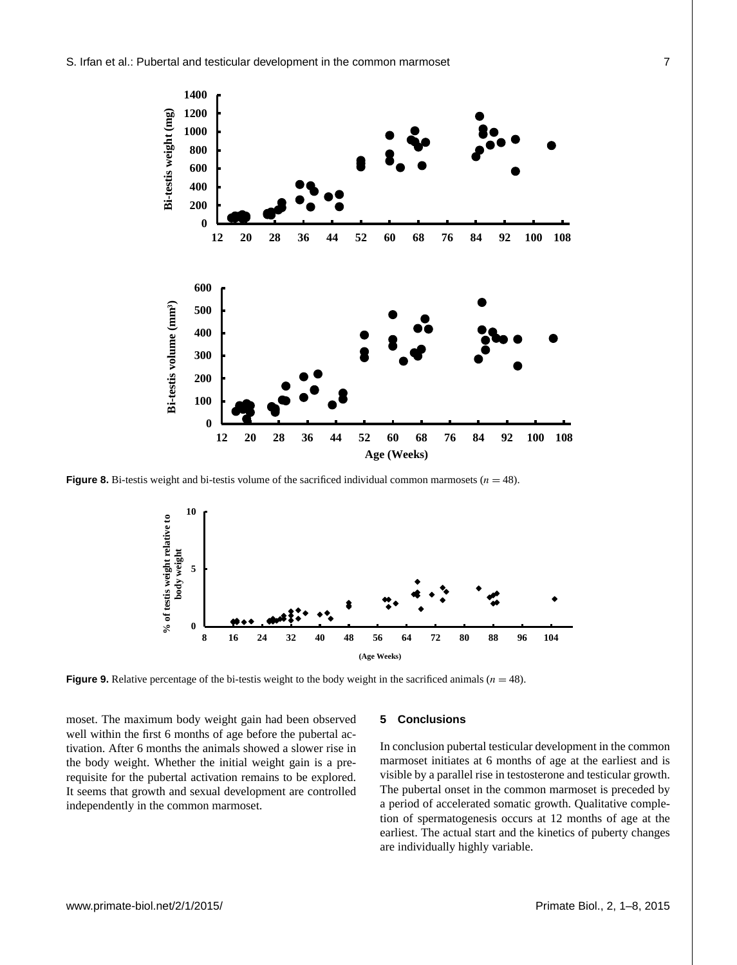

**Figure 8.** Bi-testis weight and bi-testis volume of the sacrificed individual common marmosets  $(n = 48)$ .



**Figure 9.** Relative percentage of the bi-testis weight to the body weight in the sacrificed animals  $(n = 48)$ .

moset. The maximum body weight gain had been observed well within the first 6 months of age before the pubertal activation. After 6 months the animals showed a slower rise in the body weight. Whether the initial weight gain is a prerequisite for the pubertal activation remains to be explored. It seems that growth and sexual development are controlled independently in the common marmoset.

# **5 Conclusions**

In conclusion pubertal testicular development in the common marmoset initiates at 6 months of age at the earliest and is visible by a parallel rise in testosterone and testicular growth. The pubertal onset in the common marmoset is preceded by a period of accelerated somatic growth. Qualitative completion of spermatogenesis occurs at 12 months of age at the earliest. The actual start and the kinetics of puberty changes are individually highly variable.